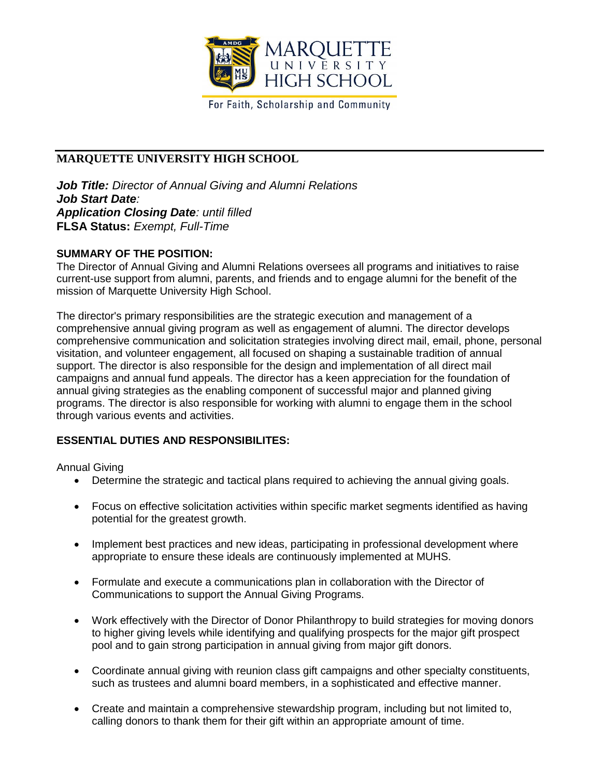

For Faith, Scholarship and Community

# **MARQUETTE UNIVERSITY HIGH SCHOOL**

*Job Title: Director of Annual Giving and Alumni Relations Job Start Date: Application Closing Date: until filled* **FLSA Status:** *Exempt, Full-Time*

### **SUMMARY OF THE POSITION:**

The Director of Annual Giving and Alumni Relations oversees all programs and initiatives to raise current-use support from alumni, parents, and friends and to engage alumni for the benefit of the mission of Marquette University High School.

The director's primary responsibilities are the strategic execution and management of a comprehensive annual giving program as well as engagement of alumni. The director develops comprehensive communication and solicitation strategies involving direct mail, email, phone, personal visitation, and volunteer engagement, all focused on shaping a sustainable tradition of annual support. The director is also responsible for the design and implementation of all direct mail campaigns and annual fund appeals. The director has a keen appreciation for the foundation of annual giving strategies as the enabling component of successful major and planned giving programs. The director is also responsible for working with alumni to engage them in the school through various events and activities.

## **ESSENTIAL DUTIES AND RESPONSIBILITES:**

Annual Giving

- Determine the strategic and tactical plans required to achieving the annual giving goals.
- Focus on effective solicitation activities within specific market segments identified as having potential for the greatest growth.
- Implement best practices and new ideas, participating in professional development where appropriate to ensure these ideals are continuously implemented at MUHS.
- Formulate and execute a communications plan in collaboration with the Director of Communications to support the Annual Giving Programs.
- Work effectively with the Director of Donor Philanthropy to build strategies for moving donors to higher giving levels while identifying and qualifying prospects for the major gift prospect pool and to gain strong participation in annual giving from major gift donors.
- Coordinate annual giving with reunion class gift campaigns and other specialty constituents, such as trustees and alumni board members, in a sophisticated and effective manner.
- Create and maintain a comprehensive stewardship program, including but not limited to, calling donors to thank them for their gift within an appropriate amount of time.